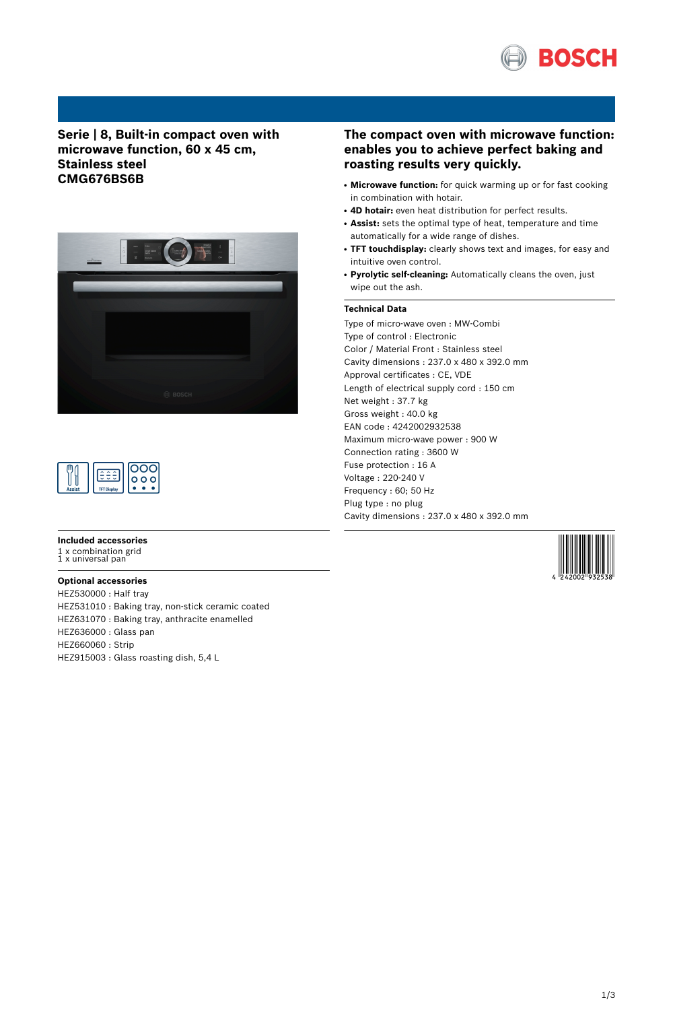

# **Serie | 8, Built-in compact oven with microwave function, 60 x 45 cm, Stainless steel CMG676BS6B**



|               |                    | ۰ο۰<br>О |
|---------------|--------------------|----------|
| <b>Assist</b> | <b>TFT Display</b> |          |

#### **Included accessories**

1 x combination grid 1 x universal pan

## **Optional accessories**

HEZ530000 : Half tray HEZ531010 : Baking tray, non-stick ceramic coated HEZ631070 : Baking tray, anthracite enamelled HEZ636000 : Glass pan HEZ660060 : Strip HEZ915003 : Glass roasting dish, 5,4 L

## **The compact oven with microwave function: enables you to achieve perfect baking and roasting results very quickly.**

- Microwave function: for quick warming up or for fast cooking in combination with hotair.
- **4D hotair:** even heat distribution for perfect results.
- Assist: sets the optimal type of heat, temperature and time automatically for a wide range of dishes.
- **TFT touchdisplay:** clearly shows text and images, for easy and intuitive oven control.
- **Pyrolytic self-cleaning:** Automatically cleans the oven, just wipe out the ash.

## **Technical Data**

Type of micro-wave oven : MW-Combi Type of control : Electronic Color / Material Front : Stainless steel Cavity dimensions : 237.0 x 480 x 392.0 mm Approval certificates : CE, VDE Length of electrical supply cord : 150 cm Net weight : 37.7 kg Gross weight : 40.0 kg EAN code : 4242002932538 Maximum micro-wave power : 900 W Connection rating : 3600 W Fuse protection : 16 A Voltage : 220-240 V Frequency : 60; 50 Hz Plug type : no plug Cavity dimensions : 237.0 x 480 x 392.0 mm

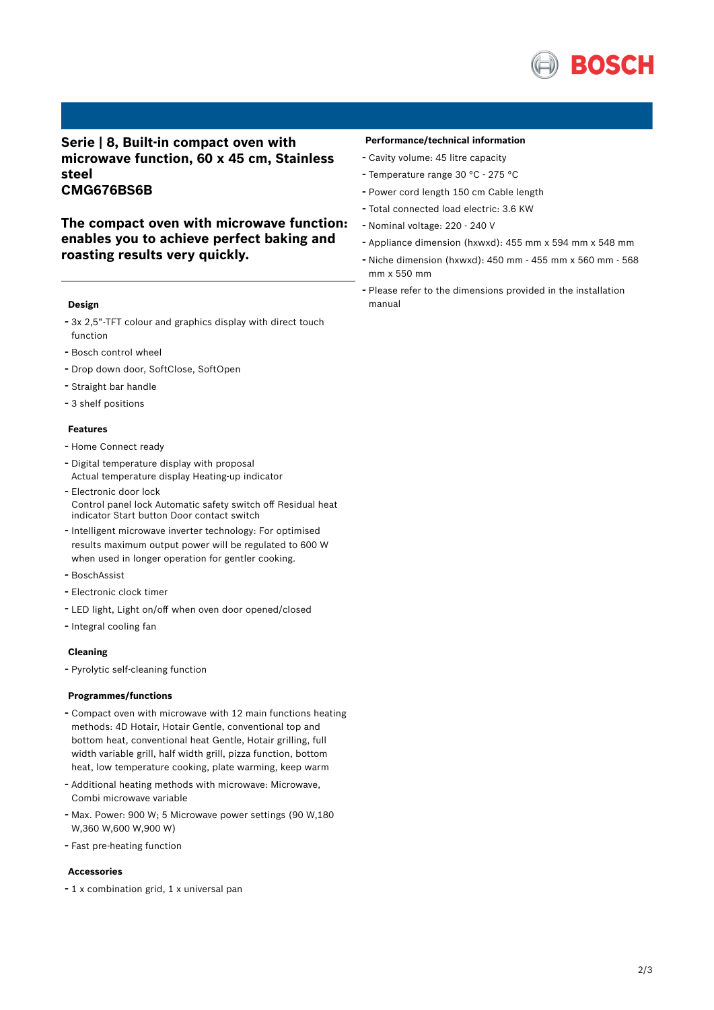

## **Serie | 8, Built-in compact oven with microwave function, 60 x 45 cm, Stainless steel CMG676BS6B**

**The compact oven with microwave function: enables you to achieve perfect baking and roasting results very quickly.**

### **Design**

- 3x 2,5"-TFT colour and graphics display with direct touch function
- Bosch control wheel
- Drop down door, SoftClose, SoftOpen
- Straight bar handle
- 3 shelf positions

## **Features**

- Home Connect ready
- Digital temperature display with proposal Actual temperature display Heating-up indicator
- Electronic door lock Control panel lock Automatic safety switch off Residual heat indicator Start button Door contact switch
- Intelligent microwave inverter technology: For optimised results maximum output power will be regulated to 600 W when used in longer operation for gentler cooking.
- BoschAssist
- Electronic clock timer
- LED light, Light on/off when oven door opened/closed
- Integral cooling fan

### **Cleaning**

- Pyrolytic self-cleaning function

#### **Programmes/functions**

- Compact oven with microwave with <sup>12</sup> main functions heating methods: 4D Hotair, Hotair Gentle, conventional top and bottom heat, conventional heat Gentle, Hotair grilling, full width variable grill, half width grill, pizza function, bottom heat, low temperature cooking, plate warming, keep warm
- Additional heating methods with microwave: Microwave, Combi microwave variable
- Max. Power: <sup>900</sup> W; <sup>5</sup> Microwave power settings (90 W,180 W,360 W,600 W,900 W)
- Fast pre-heating function

### **Accessories**

- <sup>1</sup> <sup>x</sup> combination grid, <sup>1</sup> <sup>x</sup> universal pan

#### **Performance/technical information**

- Cavity volume: <sup>45</sup> litre capacity
- Temperature range <sup>30</sup> °C <sup>275</sup> °C
- Power cord length <sup>150</sup> cm Cable length
- Total connected load electric: 3.6 KW
- Nominal voltage: <sup>220</sup> <sup>240</sup> <sup>V</sup>
- Appliance dimension (hxwxd): 455 mm x 594 mm x 548 mm
- Niche dimension (hxwxd): <sup>450</sup> mm <sup>455</sup> mm <sup>x</sup> <sup>560</sup> mm <sup>568</sup> mm x 550 mm
- Please refer to the dimensions provided in the installation manual